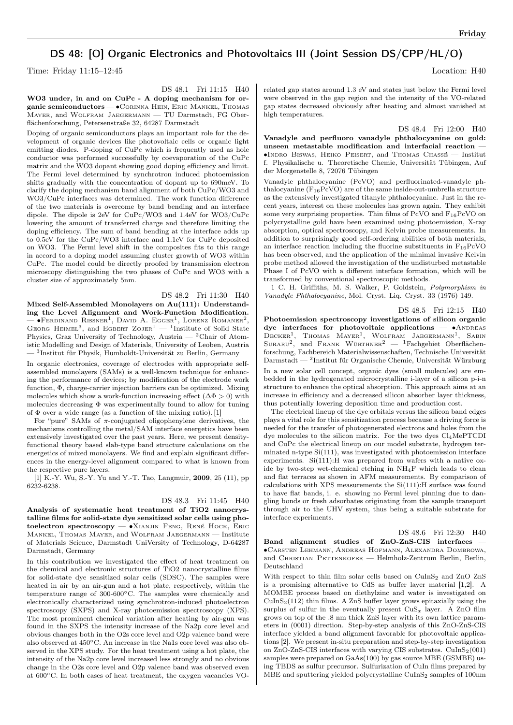## DS 48: [O] Organic Electronics and Photovoltaics III (Joint Session DS/CPP/HL/O)

Time: Friday 11:15–12:45 Location: H40

DS 48.1 Fri 11:15 H40

WO3 under, in and on CuPc - A doping mechanism for organic semiconductors — ∙Corinna Hein, Eric Mankel, Thomas Mayer, and Wolfram Jaegermann — TU Darmstadt, FG Oberflächenforschung, Petersenstraße 32, 64287 Darmstadt

Doping of organic semiconductors plays an important role for the development of organic devices like photovoltaic cells or organic light emitting diodes. P-doping of CuPc which is frequently used as hole conductor was performed successfully by coevaporation of the CuPc matrix and the WO3 dopant showing good doping efficiency and limit. The Fermi level determined by synchrotron induced photoemission shifts gradually with the concentration of dopant up to 690meV. To clarify the doping mechanism band alignment of both CuPc/WO3 and WO3/CuPc interfaces was determined. The work function difference of the two materials is overcome by band bending and an interface dipole. The dipole is 2eV for CuPc/WO3 and 1.4eV for WO3/CuPc lowering the amount of transferred charge and therefore limiting the doping efficiency. The sum of band bending at the interface adds up to 0.5eV for the CuPc/WO3 interface and 1.1eV for CuPc deposited on WO3. The Fermi level shift in the composites fits to this range in accord to a doping model assuming cluster growth of WO3 within CuPc. The model could be directly proofed by transmission electron microscopy distinguishing the two phases of CuPc and WO3 with a cluster size of approximately 5nm.

DS 48.2 Fri 11:30 H40 Mixed Self-Assembled Monolayers on Au(111): Understanding the Level Alignment and Work-Function Modification.  $-$  •Ferdinand Rissner<sup>1</sup>, David A. Egger<sup>1</sup>, Lorenz Romaner<sup>2</sup>, GEORG HEIMEL<sup>3</sup>, and EGBERT ZOJER<sup>1</sup> — <sup>1</sup>Institute of Solid State Physics, Graz University of Technology, Austria —  $^2\mathrm{Chair}$  of Atomistic Modelling and Design of Materials, University of Leoben, Austria — <sup>3</sup> Institut für Physik, Humboldt-Universität zu Berlin, Germany

In organic electronics, coverage of electrodes with appropriate selfassembled monolayers (SAMs) is a well-known technique for enhancing the performance of devices; by modification of the electrode work function, Φ, charge-carrier injection barriers can be optimized. Mixing molecules which show a work-function increasing effect  $(\Delta \Phi > 0)$  with molecules decreasing  $\Phi$  was experimentally found to allow for tuning of  $\Phi$  over a wide range (as a function of the mixing ratio). [1]

For "pure" SAMs of  $\pi$ -conjugated oligophenylene derivatives, the mechanisms controlling the metal/SAM interface energetics have been extensively investigated over the past years. Here, we present densityfunctional theory based slab-type band structure calculations on the energetics of mixed monolayers. We find and explain significant differences in the energy-level alignment compared to what is known from the respective pure layers.

[1] K.-Y. Wu, S.-Y. Yu and Y.-T. Tao, Langmuir, 2009, 25 (11), pp 6232-6238.

Darmstadt, Germany

DS 48.3 Fri 11:45 H40 Analysis of systematic heat treatment of TiO2 nanocrystalline films for solid-state dye sensitized solar cells using photoelectron spectroscopy — ∙Xianjin Feng, René Hock, Eric Mankel, Thomas Mayer, and Wolfram Jaegermann — Institute of Materials Science, Darmstadt UniVersity of Technology, D-64287

In this contribution we investigated the effect of heat treatment on the chemical and electronic structures of TiO2 nanocrystalline films for solid-state dye sensitized solar cells (SDSC). The samples were heated in air by an air-gun and a hot plate, respectively, within the temperature range of 300-600∘C. The samples were chemically and electronically characterized using synchrotron-induced photoelectron spectroscopy (SXPS) and X-ray photoemission spectroscopy (XPS). The most prominent chemical variation after heating by air-gun was found in the SXPS the intensity increase of the Na2p core level and obvious changes both in the O2s core level and O2p valence band were also observed at 450∘C. An increase in the Na1s core level was also observed in the XPS study. For the heat treatment using a hot plate, the intensity of the Na2p core level increased less strongly and no obvious change in the O2s core level and O2p valence band was observed even at 600∘C. In both cases of heat treatment, the oxygen vacancies VO-

related gap states around 1.3 eV and states just below the Fermi level were observed in the gap region and the intensity of the VO-related gap states decreased obviously after heating and almost vanished at high temperatures.

DS 48.4 Fri 12:00 H40

Vanadyle and perfluoro vanadyle phthalocyanine on gold: unseen metastable modification and interfacial reaction ∙Indro Biswas, Heiko Peisert, and Thomas Chassé — Institut f. Physikalische u. Theoretische Chemie, Universität Tübingen, Auf der Morgenstelle 8, 72076 Tübingen

Vanadyle phthalocyanine (PcVO) and perfluorinated-vanadyle phthalocyanine (F<sub>16</sub>PcVO) are of the same inside-out-umbrella structure as the extensively investigated titanyle phthalocyanine. Just in the recent years, interest on these molecules has grown again. They exhibit some very surprising properties. Thin films of PcVO and  $F_{16}PcVO$  on polycrystalline gold have been examined using photoemission, X-ray absorption, optical spectroscopy, and Kelvin probe measurements. In addition to surprisingly good self-ordering abilities of both materials, an interface reaction including the fluorine substituents in  $F_{16}PcVO$ has been observed, and the application of the minimal invasive Kelvin probe method allowed the investigation of the undisturbed metastable Phase I of PcVO with a different interface formation, which will be transformed by conventional spectroscopic methods.

1 C. H. Griffiths, M. S. Walker, P. Goldstein, Polymorphism in Vanadyle Phthalocyanine, Mol. Cryst. Liq. Cryst. 33 (1976) 149.

DS 48.5 Fri 12:15 H40 Photoemission spectroscopy investigations of silicon organic dye interfaces for photovoltaic applications — • ANDREAS DECKER<sup>1</sup>, THOMAS MAYER<sup>1</sup>, WOLFRAM JAEGERMANN<sup>1</sup>, SABIN<br>Suraru<sup>2</sup>, and Frank Würthner<sup>2</sup> — <sup>1</sup>Fachgebiet Oberflächenforschung, Fachbereich Materialwissenschaften, Technische Universität Darmstadt — <sup>2</sup> Institut für Organische Chemie, Universität Würzburg In a new solar cell concept, organic dyes (small molecules) are embedded in the hydrogenated microcrystalline i-layer of a silicon p-i-n structure to enhance the optical absorption. This approach aims at an increase in efficiency and a decreased silicon absorber layer thickness, thus potentially lowering deposition time and production cost.

The electrical lineup of the dye orbitals versus the silicon band edges plays a vital role for this sensitization process because a driving force is needed for the transfer of photogenerated electrons and holes from the dye molecules to the silicon matrix. For the two dyes  $Cl<sub>4</sub>MePTCDI$ and CuPc the electrical lineup on our model substrate, hydrogen terminated n-type Si(111), was investigated with photoemission interface experiments. Si(111):H was prepared from wafers with a native oxide by two-step wet-chemical etching in NH4F which leads to clean and flat terraces as shown in AFM measurements. By comparison of calculations with XPS measurements the Si(111):H surface was found to have flat bands, i. e. showing no Fermi level pinning due to dangling bonds or fresh adsorbates originating from the sample transport through air to the UHV system, thus being a suitable substrate for interface experiments.

DS 48.6 Fri 12:30 H40

Band alignment studies of ZnO-ZnS-CIS interfaces — ∙Carsten Lehmann, Andreas Hofmann, Alexandra Dombrowa, and CHRISTIAN PETTENKOFER - Helmholz-Zentrum Berlin, Berlin, Deutschland

With respect to thin film solar cells based on CuInS<sub>2</sub> and ZnO ZnS is a promising alternative to CdS as buffer layer material [1,2]. A MOMBE process based on diethylzinc and water is investigated on  $CuInS<sub>2</sub>(112)$  thin films. A ZnS buffer layer grows epitaxially using the surplus of sulfur in the eventually present  $CuS<sub>x</sub>$  layer. A ZnO film grows on top of the .8 nm thick ZnS layer with its own lattice parameters in (0001) direction. Step-by-step analysis of this ZnO-ZnS-CIS interface yielded a band alignment favorable for photovoltaic applications [2]. We present in-situ preparation and step-by-step investigation on  $\text{ZnO-ZnS-CIS}$  interfaces with varying CIS substrates.  $\text{CuInS}_2(001)$ samples were prepared on GaAs(100) by gas source MBE (GSMBE) using TBDS as sulfur precursor. Sulfurization of CuIn films prepared by MBE and sputtering yielded polycrystalline  $CuInS<sub>2</sub>$  samples of 100nm